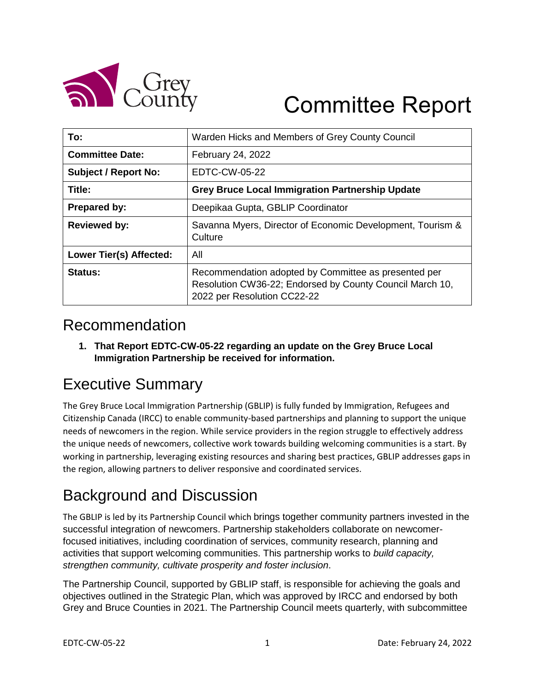

# Committee Report

| To:                         | Warden Hicks and Members of Grey County Council                                                                                                 |
|-----------------------------|-------------------------------------------------------------------------------------------------------------------------------------------------|
| <b>Committee Date:</b>      | February 24, 2022                                                                                                                               |
| <b>Subject / Report No:</b> | EDTC-CW-05-22                                                                                                                                   |
| Title:                      | <b>Grey Bruce Local Immigration Partnership Update</b>                                                                                          |
| Prepared by:                | Deepikaa Gupta, GBLIP Coordinator                                                                                                               |
| <b>Reviewed by:</b>         | Savanna Myers, Director of Economic Development, Tourism &<br>Culture                                                                           |
| Lower Tier(s) Affected:     | All                                                                                                                                             |
| Status:                     | Recommendation adopted by Committee as presented per<br>Resolution CW36-22; Endorsed by County Council March 10,<br>2022 per Resolution CC22-22 |

### Recommendation

**1. That Report EDTC-CW-05-22 regarding an update on the Grey Bruce Local Immigration Partnership be received for information.** 

# Executive Summary

The Grey Bruce Local Immigration Partnership (GBLIP) is fully funded by Immigration, Refugees and Citizenship Canada (IRCC) to enable community-based partnerships and planning to support the unique needs of newcomers in the region. While service providers in the region struggle to effectively address the unique needs of newcomers, collective work towards building welcoming communities is a start. By working in partnership, leveraging existing resources and sharing best practices, GBLIP addresses gaps in the region, allowing partners to deliver responsive and coordinated services.

# Background and Discussion

The GBLIP is led by its Partnership Council which brings together community partners invested in the successful integration of newcomers. Partnership stakeholders collaborate on newcomerfocused initiatives, including coordination of services, community research, planning and activities that support welcoming communities. This partnership works to *build capacity, strengthen community, cultivate prosperity and foster inclusion*.

The Partnership Council, supported by GBLIP staff, is responsible for achieving the goals and objectives outlined in the Strategic Plan, which was approved by IRCC and endorsed by both Grey and Bruce Counties in 2021. The Partnership Council meets quarterly, with subcommittee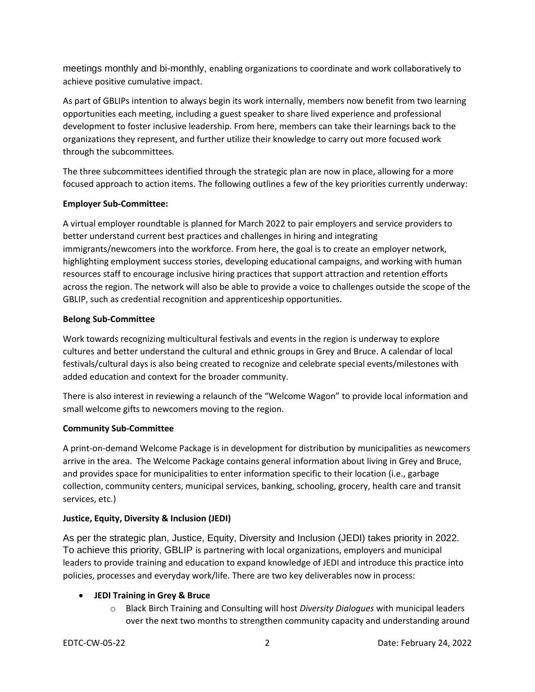meetings monthly and bi-monthly, enabling organizations to coordinate and work collaboratively to achieve positive cumulative impact.

As part of GBLIPs intention to always begin its work internally, members now benefit from two learning opportunities each meeting, including a guest speaker to share lived experience and professional development to foster inclusive leadership. From here, members can take their learnings back to the organizations they represent, and further utilize their knowledge to carry out more focused work through the subcommittees.

The three subcommittees identified through the strategic plan are now in place, allowing for a more focused approach to action items. The following outlines a few of the key priorities currently underway:

#### **Employer Sub-Committee:**

A virtual employer roundtable is planned for March 2022 to pair employers and service providers to better understand current best practices and challenges in hiring and integrating immigrants/newcomers into the workforce. From here, the goal is to create an employer network, highlighting employment success stories, developing educational campaigns, and working with human resources staff to encourage inclusive hiring practices that support attraction and retention efforts across the region. The network will also be able to provide a voice to challenges outside the scope of the GBLIP, such as credential recognition and apprenticeship opportunities.

#### **Belong Sub-Committee**

Work towards recognizing multicultural festivals and events in the region is underway to explore cultures and better understand the cultural and ethnic groups in Grey and Bruce. A calendar of local festivals/cultural days is also being created to recognize and celebrate special events/milestones with added education and context for the broader community.

There is also interest in reviewing a relaunch of the "Welcome Wagon" to provide local information and small welcome gifts to newcomers moving to the region.

#### **Community Sub-Committee**

A print-on-demand Welcome Package is in development for distribution by municipalities as newcomers arrive in the area. The Welcome Package contains general information about living in Grey and Bruce, and provides space for municipalities to enter information specific to their location (i.e., garbage collection, community centers, municipal services, banking, schooling, grocery, health care and transit services, etc.)

#### **Justice, Equity, Diversity & Inclusion (JEDI)**

As per the strategic plan, Justice, Equity, Diversity and Inclusion (JEDI) takes priority in 2022. To achieve this priority, GBLIP is partnering with local organizations, employers and municipal leaders to provide training and education to expand knowledge of JEDI and introduce this practice into policies, processes and everyday work/life. There are two key deliverables now in process:

#### **JEDI Training in Grey & Bruce**

o Black Birch Training and Consulting will host *Diversity Dialogues* with municipal leaders over the next two months to strengthen community capacity and understanding around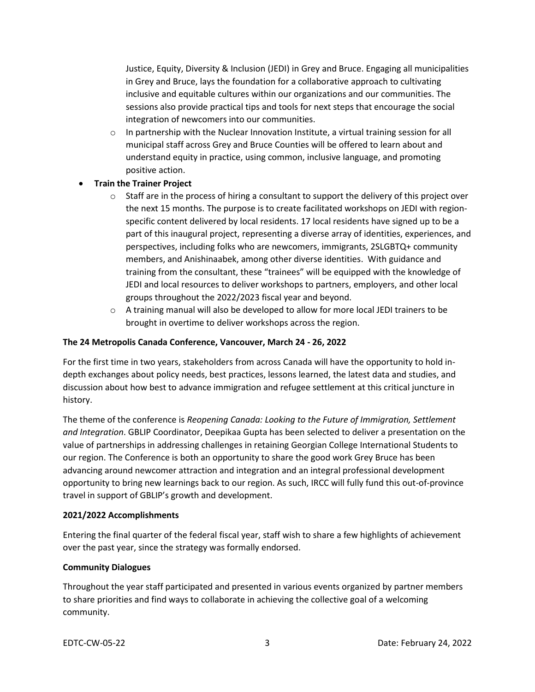Justice, Equity, Diversity & Inclusion (JEDI) in Grey and Bruce. Engaging all municipalities in Grey and Bruce, lays the foundation for a collaborative approach to cultivating inclusive and equitable cultures within our organizations and our communities. The sessions also provide practical tips and tools for next steps that encourage the social integration of newcomers into our communities.

- $\circ$  In partnership with the Nuclear Innovation Institute, a virtual training session for all municipal staff across Grey and Bruce Counties will be offered to learn about and understand equity in practice, using common, inclusive language, and promoting positive action.
- **Train the Trainer Project**
	- $\circ$  Staff are in the process of hiring a consultant to support the delivery of this project over the next 15 months. The purpose is to create facilitated workshops on JEDI with regionspecific content delivered by local residents. 17 local residents have signed up to be a part of this inaugural project, representing a diverse array of identities, experiences, and perspectives, including folks who are newcomers, immigrants, 2SLGBTQ+ community members, and Anishinaabek, among other diverse identities. With guidance and training from the consultant, these "trainees" will be equipped with the knowledge of JEDI and local resources to deliver workshops to partners, employers, and other local groups throughout the 2022/2023 fiscal year and beyond.
	- $\circ$  A training manual will also be developed to allow for more local JEDI trainers to be brought in overtime to deliver workshops across the region.

#### **The 24 Metropolis Canada Conference, Vancouver, March 24 - 26, 2022**

For the first time in two years, stakeholders from across Canada will have the opportunity to hold indepth exchanges about policy needs, best practices, lessons learned, the latest data and studies, and discussion about how best to advance immigration and refugee settlement at this critical juncture in history.

The theme of the conference is *Reopening Canada: Looking to the Future of Immigration, Settlement and Integration*. GBLIP Coordinator, Deepikaa Gupta has been selected to deliver a presentation on the value of partnerships in addressing challenges in retaining Georgian College International Students to our region. The Conference is both an opportunity to share the good work Grey Bruce has been advancing around newcomer attraction and integration and an integral professional development opportunity to bring new learnings back to our region. As such, IRCC will fully fund this out-of-province travel in support of GBLIP's growth and development.

#### **2021/2022 Accomplishments**

Entering the final quarter of the federal fiscal year, staff wish to share a few highlights of achievement over the past year, since the strategy was formally endorsed.

#### **Community Dialogues**

Throughout the year staff participated and presented in various events organized by partner members to share priorities and find ways to collaborate in achieving the collective goal of a welcoming community.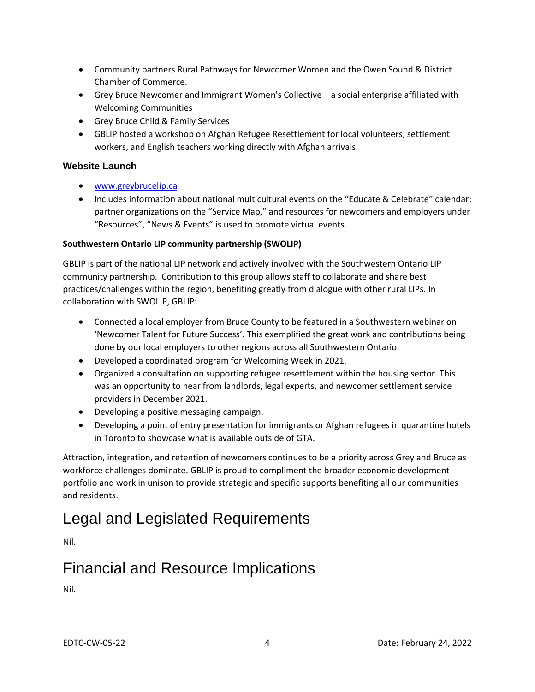- Community partners Rural Pathways for Newcomer Women and the Owen Sound & District Chamber of Commerce.
- Grey Bruce Newcomer and Immigrant Women's Collective a social enterprise affiliated with Welcoming Communities
- Grey Bruce Child & Family Services
- GBLIP hosted a workshop on Afghan Refugee Resettlement for local volunteers, settlement workers, and English teachers working directly with Afghan arrivals.

#### **Website Launch**

- [www.greybrucelip.ca](http://www.greybrucelip.ca/)
- Includes information about national multicultural events on the "Educate & Celebrate" calendar; partner organizations on the "Service Map," and resources for newcomers and employers under "Resources", "News & Events" is used to promote virtual events.

#### **Southwestern Ontario LIP community partnership (SWOLIP)**

GBLIP is part of the national LIP network and actively involved with the Southwestern Ontario LIP community partnership. Contribution to this group allows staff to collaborate and share best practices/challenges within the region, benefiting greatly from dialogue with other rural LIPs. In collaboration with SWOLIP, GBLIP:

- Connected a local employer from Bruce County to be featured in a Southwestern webinar on 'Newcomer Talent for Future Success'. This exemplified the great work and contributions being done by our local employers to other regions across all Southwestern Ontario.
- Developed a coordinated program for Welcoming Week in 2021.
- Organized a consultation on supporting refugee resettlement within the housing sector. This was an opportunity to hear from landlords, legal experts, and newcomer settlement service providers in December 2021.
- Developing a positive messaging campaign.
- Developing a point of entry presentation for immigrants or Afghan refugees in quarantine hotels in Toronto to showcase what is available outside of GTA.

Attraction, integration, and retention of newcomers continues to be a priority across Grey and Bruce as workforce challenges dominate. GBLIP is proud to compliment the broader economic development portfolio and work in unison to provide strategic and specific supports benefiting all our communities and residents.

## Legal and Legislated Requirements

Nil.

## Financial and Resource Implications

Nil.